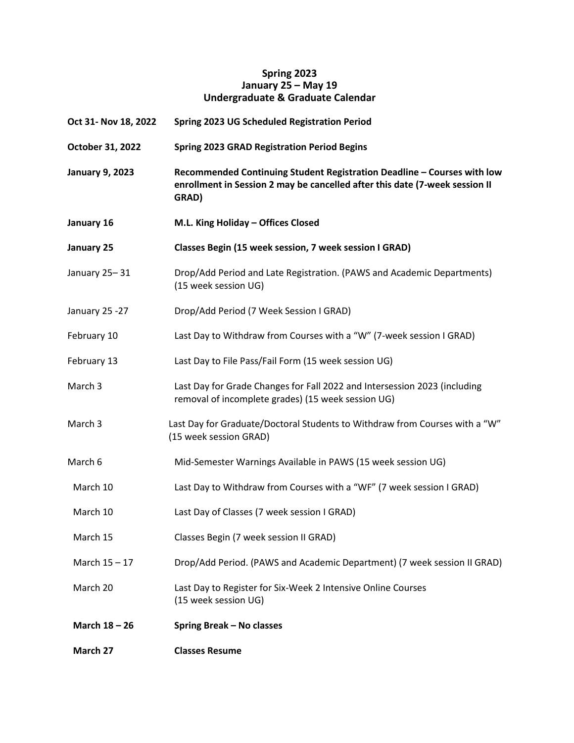## **Spring 2023 January 25 – May 19 Undergraduate & Graduate Calendar**

| Oct 31- Nov 18, 2022   | Spring 2023 UG Scheduled Registration Period                                                                                                                    |
|------------------------|-----------------------------------------------------------------------------------------------------------------------------------------------------------------|
| October 31, 2022       | <b>Spring 2023 GRAD Registration Period Begins</b>                                                                                                              |
| <b>January 9, 2023</b> | Recommended Continuing Student Registration Deadline - Courses with low<br>enrollment in Session 2 may be cancelled after this date (7-week session II<br>GRAD) |
| January 16             | M.L. King Holiday - Offices Closed                                                                                                                              |
| January 25             | Classes Begin (15 week session, 7 week session I GRAD)                                                                                                          |
| January 25-31          | Drop/Add Period and Late Registration. (PAWS and Academic Departments)<br>(15 week session UG)                                                                  |
| January 25 -27         | Drop/Add Period (7 Week Session I GRAD)                                                                                                                         |
| February 10            | Last Day to Withdraw from Courses with a "W" (7-week session I GRAD)                                                                                            |
| February 13            | Last Day to File Pass/Fail Form (15 week session UG)                                                                                                            |
| March 3                | Last Day for Grade Changes for Fall 2022 and Intersession 2023 (including<br>removal of incomplete grades) (15 week session UG)                                 |
| March 3                | Last Day for Graduate/Doctoral Students to Withdraw from Courses with a "W"<br>(15 week session GRAD)                                                           |
| March 6                | Mid-Semester Warnings Available in PAWS (15 week session UG)                                                                                                    |
| March 10               | Last Day to Withdraw from Courses with a "WF" (7 week session I GRAD)                                                                                           |
| March 10               | Last Day of Classes (7 week session I GRAD)                                                                                                                     |
| March 15               | Classes Begin (7 week session II GRAD)                                                                                                                          |
| March 15 - 17          | Drop/Add Period. (PAWS and Academic Department) (7 week session II GRAD)                                                                                        |
| March 20               | Last Day to Register for Six-Week 2 Intensive Online Courses<br>(15 week session UG)                                                                            |
| March 18 - 26          | Spring Break - No classes                                                                                                                                       |
| March 27               | <b>Classes Resume</b>                                                                                                                                           |